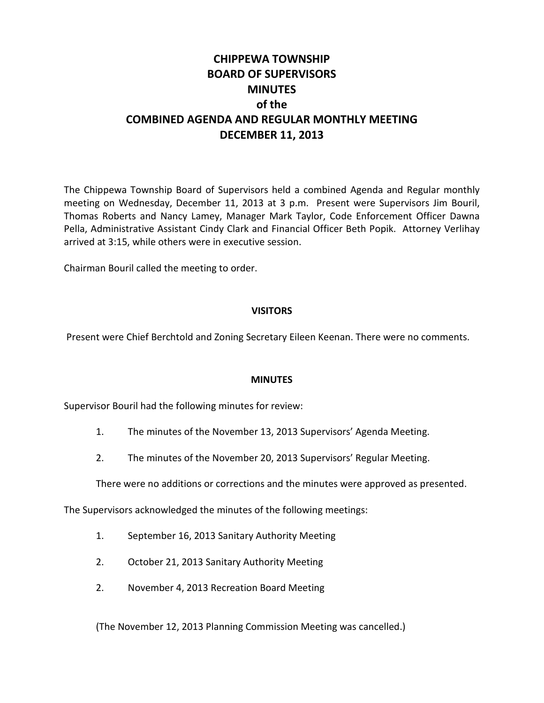# **CHIPPEWA TOWNSHIP BOARD OF SUPERVISORS MINUTES of the COMBINED AGENDA AND REGULAR MONTHLY MEETING DECEMBER 11, 2013**

The Chippewa Township Board of Supervisors held a combined Agenda and Regular monthly meeting on Wednesday, December 11, 2013 at 3 p.m. Present were Supervisors Jim Bouril, Thomas Roberts and Nancy Lamey, Manager Mark Taylor, Code Enforcement Officer Dawna Pella, Administrative Assistant Cindy Clark and Financial Officer Beth Popik. Attorney Verlihay arrived at 3:15, while others were in executive session.

Chairman Bouril called the meeting to order.

## **VISITORS**

Present were Chief Berchtold and Zoning Secretary Eileen Keenan. There were no comments.

## **MINUTES**

Supervisor Bouril had the following minutes for review:

- 1. The minutes of the November 13, 2013 Supervisors' Agenda Meeting.
- 2. The minutes of the November 20, 2013 Supervisors' Regular Meeting.

There were no additions or corrections and the minutes were approved as presented.

The Supervisors acknowledged the minutes of the following meetings:

- 1. September 16, 2013 Sanitary Authority Meeting
- 2. October 21, 2013 Sanitary Authority Meeting
- 2. November 4, 2013 Recreation Board Meeting

(The November 12, 2013 Planning Commission Meeting was cancelled.)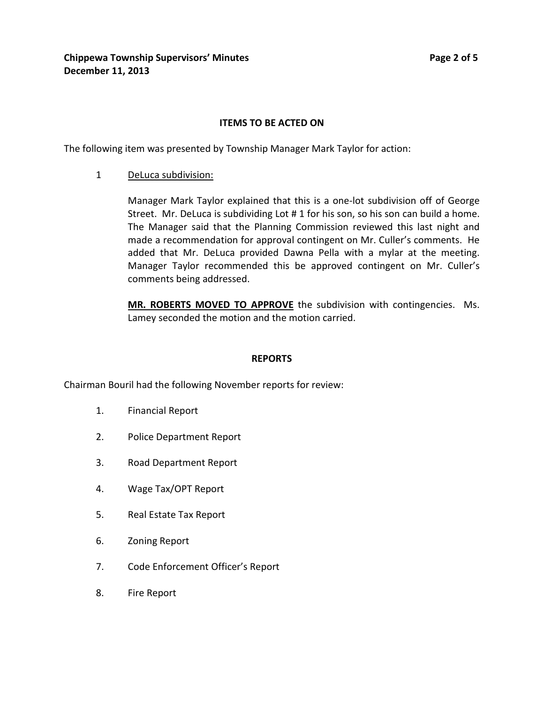## **ITEMS TO BE ACTED ON**

The following item was presented by Township Manager Mark Taylor for action:

1 DeLuca subdivision:

Manager Mark Taylor explained that this is a one-lot subdivision off of George Street. Mr. DeLuca is subdividing Lot # 1 for his son, so his son can build a home. The Manager said that the Planning Commission reviewed this last night and made a recommendation for approval contingent on Mr. Culler's comments. He added that Mr. DeLuca provided Dawna Pella with a mylar at the meeting. Manager Taylor recommended this be approved contingent on Mr. Culler's comments being addressed.

**MR. ROBERTS MOVED TO APPROVE** the subdivision with contingencies. Ms. Lamey seconded the motion and the motion carried.

#### **REPORTS**

Chairman Bouril had the following November reports for review:

- 1. Financial Report
- 2. Police Department Report
- 3. Road Department Report
- 4. Wage Tax/OPT Report
- 5. Real Estate Tax Report
- 6. Zoning Report
- 7. Code Enforcement Officer's Report
- 8. Fire Report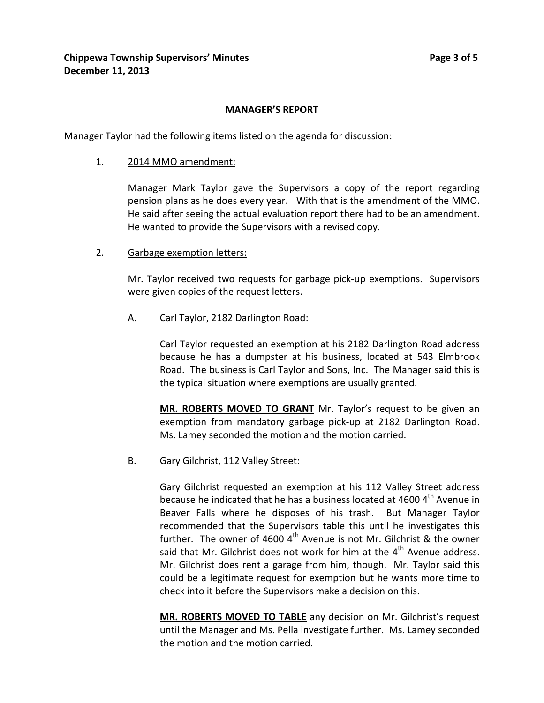## **MANAGER'S REPORT**

Manager Taylor had the following items listed on the agenda for discussion:

1. 2014 MMO amendment:

Manager Mark Taylor gave the Supervisors a copy of the report regarding pension plans as he does every year. With that is the amendment of the MMO. He said after seeing the actual evaluation report there had to be an amendment. He wanted to provide the Supervisors with a revised copy.

2. Garbage exemption letters:

Mr. Taylor received two requests for garbage pick-up exemptions. Supervisors were given copies of the request letters.

A. Carl Taylor, 2182 Darlington Road:

Carl Taylor requested an exemption at his 2182 Darlington Road address because he has a dumpster at his business, located at 543 Elmbrook Road. The business is Carl Taylor and Sons, Inc. The Manager said this is the typical situation where exemptions are usually granted.

**MR. ROBERTS MOVED TO GRANT** Mr. Taylor's request to be given an exemption from mandatory garbage pick-up at 2182 Darlington Road. Ms. Lamey seconded the motion and the motion carried.

B. Gary Gilchrist, 112 Valley Street:

Gary Gilchrist requested an exemption at his 112 Valley Street address because he indicated that he has a business located at 4600 4<sup>th</sup> Avenue in Beaver Falls where he disposes of his trash. But Manager Taylor recommended that the Supervisors table this until he investigates this further. The owner of 4600  $4<sup>th</sup>$  Avenue is not Mr. Gilchrist & the owner said that Mr. Gilchrist does not work for him at the  $4<sup>th</sup>$  Avenue address. Mr. Gilchrist does rent a garage from him, though. Mr. Taylor said this could be a legitimate request for exemption but he wants more time to check into it before the Supervisors make a decision on this.

**MR. ROBERTS MOVED TO TABLE** any decision on Mr. Gilchrist's request until the Manager and Ms. Pella investigate further. Ms. Lamey seconded the motion and the motion carried.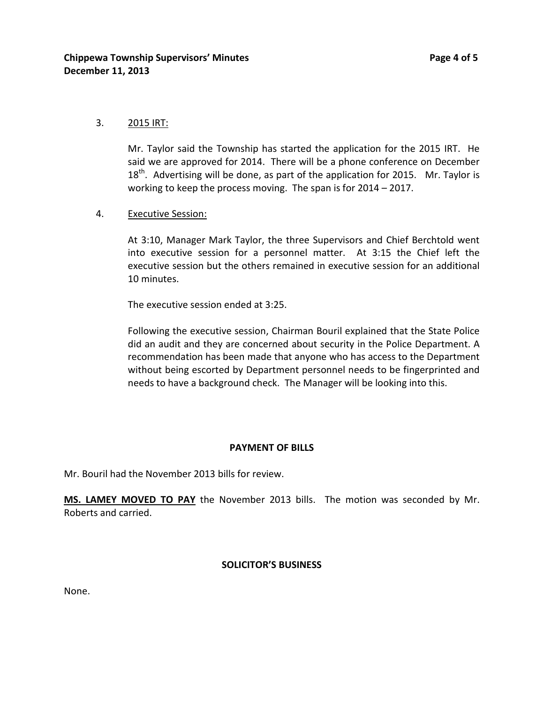## 3. 2015 IRT:

Mr. Taylor said the Township has started the application for the 2015 IRT. He said we are approved for 2014. There will be a phone conference on December  $18<sup>th</sup>$ . Advertising will be done, as part of the application for 2015. Mr. Taylor is working to keep the process moving. The span is for 2014 – 2017.

## 4. Executive Session:

At 3:10, Manager Mark Taylor, the three Supervisors and Chief Berchtold went into executive session for a personnel matter. At 3:15 the Chief left the executive session but the others remained in executive session for an additional 10 minutes.

The executive session ended at 3:25.

Following the executive session, Chairman Bouril explained that the State Police did an audit and they are concerned about security in the Police Department. A recommendation has been made that anyone who has access to the Department without being escorted by Department personnel needs to be fingerprinted and needs to have a background check. The Manager will be looking into this.

## **PAYMENT OF BILLS**

Mr. Bouril had the November 2013 bills for review.

**MS. LAMEY MOVED TO PAY** the November 2013 bills. The motion was seconded by Mr. Roberts and carried.

## **SOLICITOR'S BUSINESS**

None.